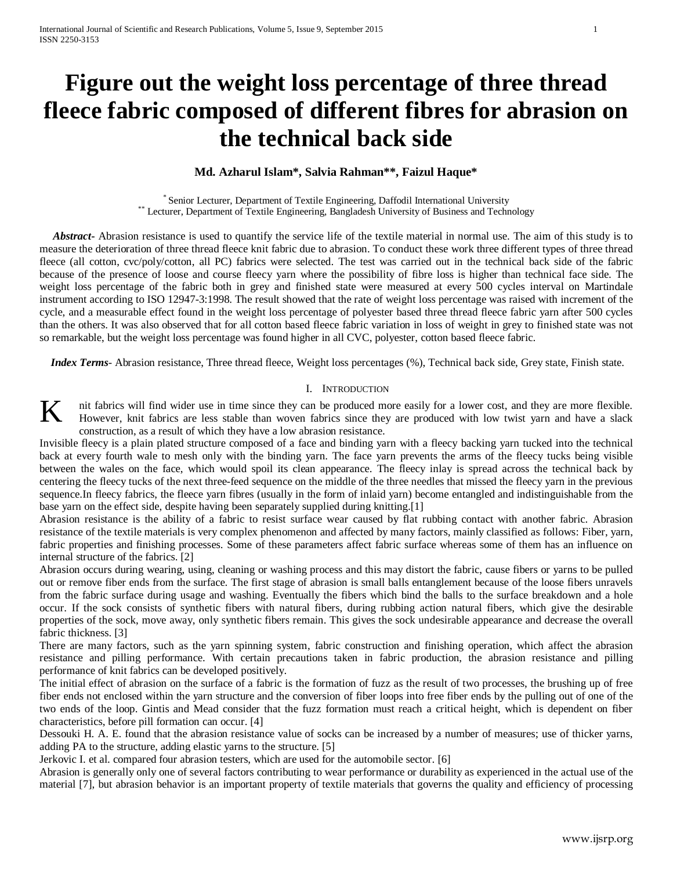# **Figure out the weight loss percentage of three thread fleece fabric composed of different fibres for abrasion on the technical back side**

## **Md. Azharul Islam\*, Salvia Rahman\*\*, Faizul Haque\***

\* Senior Lecturer, Department of Textile Engineering, Daffodil International University \*\* Lecturer, Department of Textile Engineering, Bangladesh University of Business and Technology

 *Abstract***-** Abrasion resistance is used to quantify the service life of the textile material in normal use. The aim of this study is to measure the deterioration of three thread fleece knit fabric due to abrasion. To conduct these work three different types of three thread fleece (all cotton, cvc/poly/cotton, all PC) fabrics were selected. The test was carried out in the technical back side of the fabric because of the presence of loose and course fleecy yarn where the possibility of fibre loss is higher than technical face side. The weight loss percentage of the fabric both in grey and finished state were measured at every 500 cycles interval on Martindale instrument according to ISO 12947-3:1998. The result showed that the rate of weight loss percentage was raised with increment of the cycle, and a measurable effect found in the weight loss percentage of polyester based three thread fleece fabric yarn after 500 cycles than the others. It was also observed that for all cotton based fleece fabric variation in loss of weight in grey to finished state was not so remarkable, but the weight loss percentage was found higher in all CVC, polyester, cotton based fleece fabric.

 *Index Terms*- Abrasion resistance, Three thread fleece, Weight loss percentages (%), Technical back side, Grey state, Finish state.

## I. INTRODUCTION

nit fabrics will find wider use in time since they can be produced more easily for a lower cost, and they are more flexible. However, knit fabrics are less stable than woven fabrics since they are produced with low twist yarn and have a slack construction, as a result of which they have a low abrasion resistance. K

Invisible fleecy is a plain plated structure composed of a face and binding yarn with a fleecy backing yarn tucked into the technical back at every fourth wale to mesh only with the binding yarn. The face yarn prevents the arms of the fleecy tucks being visible between the wales on the face, which would spoil its clean appearance. The fleecy inlay is spread across the technical back by centering the fleecy tucks of the next three-feed sequence on the middle of the three needles that missed the fleecy yarn in the previous sequence.In fleecy fabrics, the fleece yarn fibres (usually in the form of inlaid yarn) become entangled and indistinguishable from the base yarn on the effect side, despite having been separately supplied during knitting.[1]

Abrasion resistance is the ability of a fabric to resist surface wear caused by flat rubbing contact with another fabric. Abrasion resistance of the textile materials is very complex phenomenon and affected by many factors, mainly classified as follows: Fiber, yarn, fabric properties and finishing processes. Some of these parameters affect fabric surface whereas some of them has an influence on internal structure of the fabrics. [2]

Abrasion occurs during wearing, using, cleaning or washing process and this may distort the fabric, cause fibers or yarns to be pulled out or remove fiber ends from the surface. The first stage of abrasion is small balls entanglement because of the loose fibers unravels from the fabric surface during usage and washing. Eventually the fibers which bind the balls to the surface breakdown and a hole occur. If the sock consists of synthetic fibers with natural fibers, during rubbing action natural fibers, which give the desirable properties of the sock, move away, only synthetic fibers remain. This gives the sock undesirable appearance and decrease the overall fabric thickness. [3]

There are many factors, such as the yarn spinning system, fabric construction and finishing operation, which affect the abrasion resistance and pilling performance. With certain precautions taken in fabric production, the abrasion resistance and pilling performance of knit fabrics can be developed positively.

The initial effect of abrasion on the surface of a fabric is the formation of fuzz as the result of two processes, the brushing up of free fiber ends not enclosed within the yarn structure and the conversion of fiber loops into free fiber ends by the pulling out of one of the two ends of the loop. Gintis and Mead consider that the fuzz formation must reach a critical height, which is dependent on fiber characteristics, before pill formation can occur. [4]

Dessouki H. A. E. found that the abrasion resistance value of socks can be increased by a number of measures; use of thicker yarns, adding PA to the structure, adding elastic yarns to the structure. [5]

Jerkovic I. et al. compared four abrasion testers, which are used for the automobile sector. [6]

Abrasion is generally only one of several factors contributing to wear performance or durability as experienced in the actual use of the material [7], but abrasion behavior is an important property of textile materials that governs the quality and efficiency of processing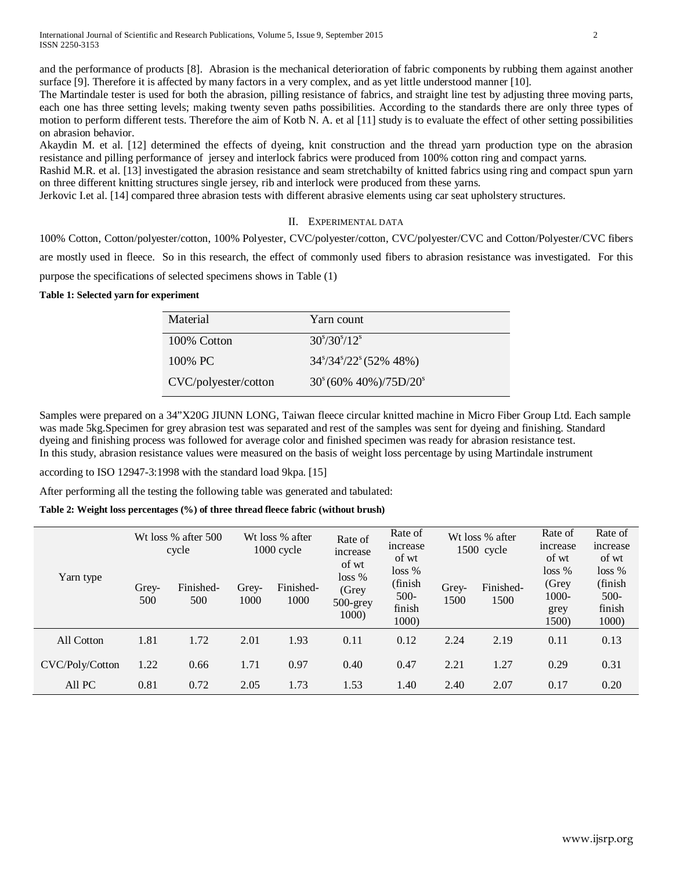and the performance of products [8]. Abrasion is the mechanical deterioration of fabric components by rubbing them against another surface [9]. Therefore it is affected by many factors in a very complex, and as yet little understood manner [10].

The Martindale tester is used for both the abrasion, pilling resistance of fabrics, and straight line test by adjusting three moving parts, each one has three setting levels; making twenty seven paths possibilities. According to the standards there are only three types of motion to perform different tests. Therefore the aim of Kotb N. A. et al [11] study is to evaluate the effect of other setting possibilities on abrasion behavior.

Akaydin M. et al. [12] determined the effects of dyeing, knit construction and the thread yarn production type on the abrasion resistance and pilling performance of jersey and interlock fabrics were produced from 100% cotton ring and compact yarns.

Rashid M.R. et al. [13] investigated the abrasion resistance and seam stretchabilty of knitted fabrics using ring and compact spun yarn on three different knitting structures single jersey, rib and interlock were produced from these yarns.

Jerkovic I.et al. [14] compared three abrasion tests with different abrasive elements using car seat upholstery structures.

## II. EXPERIMENTAL DATA

100% Cotton, Cotton/polyester/cotton, 100% Polyester, CVC/polyester/cotton, CVC/polyester/CVC and Cotton/Polyester/CVC fibers are mostly used in fleece. So in this research, the effect of commonly used fibers to abrasion resistance was investigated. For this purpose the specifications of selected specimens shows in Table (1)

### **Table 1: Selected yarn for experiment**

| Material             | Yarn count                                        |
|----------------------|---------------------------------------------------|
| 100\% Cotton         | $30s/30s/12s$                                     |
| 100% PC              | $34\frac{\frac{1}{3}}{22}\left(52\% 48\% \right)$ |
| CVC/polyester/cotton | $30^{\circ}$ (60% 40%)/75D/20 <sup>s</sup>        |

Samples were prepared on a 34"X20G JIUNN LONG, Taiwan fleece circular knitted machine in Micro Fiber Group Ltd. Each sample was made 5kg.Specimen for grey abrasion test was separated and rest of the samples was sent for dyeing and finishing. Standard dyeing and finishing process was followed for average color and finished specimen was ready for abrasion resistance test. In this study, abrasion resistance values were measured on the basis of weight loss percentage by using Martindale instrument

according to ISO 12947-3:1998 with the standard load 9kpa. [15]

After performing all the testing the following table was generated and tabulated:

**Table 2: Weight loss percentages (%) of three thread fleece fabric (without brush)**

| Yarn type       | Wt loss % after 500<br>cycle |                  | Wt loss % after<br>1000 cycle |                   | Rate of<br>increase                             | Rate of<br>increase                                        |               | Wt loss % after<br>1500 cycle | Rate of<br>increase                                  | Rate of<br>increase                                     |
|-----------------|------------------------------|------------------|-------------------------------|-------------------|-------------------------------------------------|------------------------------------------------------------|---------------|-------------------------------|------------------------------------------------------|---------------------------------------------------------|
|                 | Grey-<br>500                 | Finished-<br>500 | Grey-<br>1000                 | Finished-<br>1000 | of wt<br>$loss\%$<br>(Grey<br>500-grey<br>1000) | of wt<br>$loss\%$<br>(finish<br>$500 -$<br>finish<br>1000) | Grey-<br>1500 | Finished-<br>1500             | of wt<br>$loss\%$<br>(Grey<br>1000-<br>grey<br>1500) | of wt<br>$loss\%$<br>(finish<br>500-<br>finish<br>1000) |
| All Cotton      | 1.81                         | 1.72             | 2.01                          | 1.93              | 0.11                                            | 0.12                                                       | 2.24          | 2.19                          | 0.11                                                 | 0.13                                                    |
| CVC/Poly/Cotton | 1.22                         | 0.66             | 1.71                          | 0.97              | 0.40                                            | 0.47                                                       | 2.21          | 1.27                          | 0.29                                                 | 0.31                                                    |
| All PC          | 0.81                         | 0.72             | 2.05                          | 1.73              | 1.53                                            | 1.40                                                       | 2.40          | 2.07                          | 0.17                                                 | 0.20                                                    |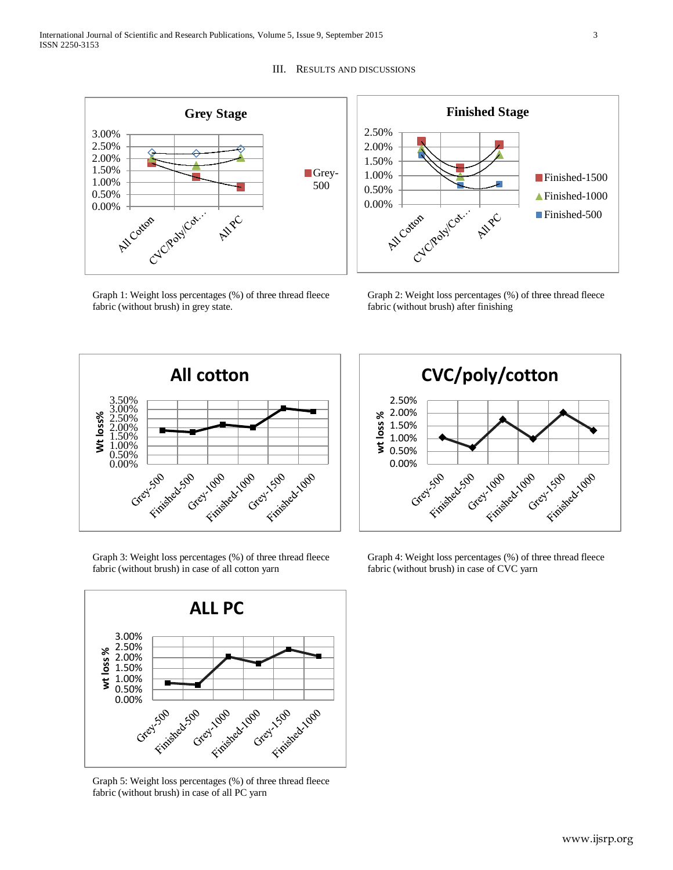

III. RESULTS AND DISCUSSIONS

Graph 1: Weight loss percentages (%) of three thread fleece fabric (without brush) in grey state.



Graph 2: Weight loss percentages (%) of three thread fleece fabric (without brush) after finishing



Graph 3: Weight loss percentages (%) of three thread fleece fabric (without brush) in case of all cotton yarn



Graph 5: Weight loss percentages (%) of three thread fleece fabric (without brush) in case of all PC yarn



Graph 4: Weight loss percentages (%) of three thread fleece fabric (without brush) in case of CVC yarn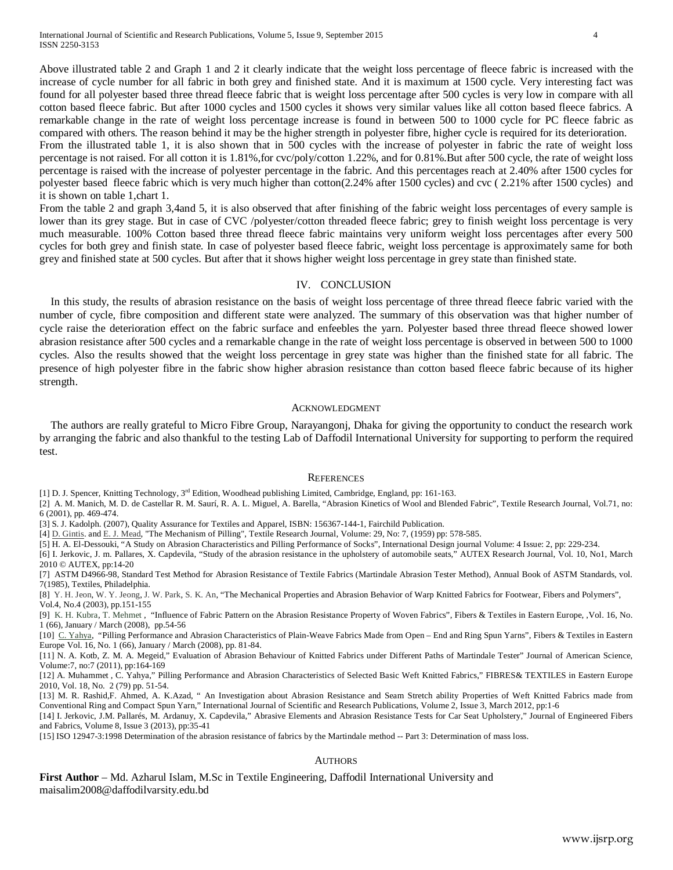Above illustrated table 2 and Graph 1 and 2 it clearly indicate that the weight loss percentage of fleece fabric is increased with the increase of cycle number for all fabric in both grey and finished state. And it is maximum at 1500 cycle. Very interesting fact was found for all polyester based three thread fleece fabric that is weight loss percentage after 500 cycles is very low in compare with all cotton based fleece fabric. But after 1000 cycles and 1500 cycles it shows very similar values like all cotton based fleece fabrics. A remarkable change in the rate of weight loss percentage increase is found in between 500 to 1000 cycle for PC fleece fabric as compared with others. The reason behind it may be the higher strength in polyester fibre, higher cycle is required for its deterioration. From the illustrated table 1, it is also shown that in 500 cycles with the increase of polyester in fabric the rate of weight loss percentage is not raised. For all cotton it is 1.81%,for cvc/poly/cotton 1.22%, and for 0.81%.But after 500 cycle, the rate of weight loss percentage is raised with the increase of polyester percentage in the fabric. And this percentages reach at 2.40% after 1500 cycles for polyester based fleece fabric which is very much higher than cotton(2.24% after 1500 cycles) and cvc ( 2.21% after 1500 cycles) and it is shown on table 1,chart 1.

From the table 2 and graph 3,4and 5, it is also observed that after finishing of the fabric weight loss percentages of every sample is lower than its grey stage. But in case of CVC /polyester/cotton threaded fleece fabric; grey to finish weight loss percentage is very much measurable. 100% Cotton based three thread fleece fabric maintains very uniform weight loss percentages after every 500 cycles for both grey and finish state. In case of polyester based fleece fabric, weight loss percentage is approximately same for both grey and finished state at 500 cycles. But after that it shows higher weight loss percentage in grey state than finished state.

### IV. CONCLUSION

In this study, the results of abrasion resistance on the basis of weight loss percentage of three thread fleece fabric varied with the number of cycle, fibre composition and different state were analyzed. The summary of this observation was that higher number of cycle raise the deterioration effect on the fabric surface and enfeebles the yarn. Polyester based three thread fleece showed lower abrasion resistance after 500 cycles and a remarkable change in the rate of weight loss percentage is observed in between 500 to 1000 cycles. Also the results showed that the weight loss percentage in grey state was higher than the finished state for all fabric. The presence of high polyester fibre in the fabric show higher abrasion resistance than cotton based fleece fabric because of its higher strength.

#### ACKNOWLEDGMENT

The authors are really grateful to Micro Fibre Group, Narayangonj, Dhaka for giving the opportunity to conduct the research work by arranging the fabric and also thankful to the testing Lab of Daffodil International University for supporting to perform the required test.

#### **REFERENCES**

[1] D. J. Spencer, Knitting Technology, 3rd Edition, Woodhead publishing Limited, Cambridge, England, pp: 161-163.

[2] A. M. [Manich,](http://trj.sagepub.com/search?author1=A.+M.+Manich&sortspec=date&submit=Submit) M. D. de [Castellar](http://trj.sagepub.com/search?author1=M.+D.+de+Castellar&sortspec=date&submit=Submit) R. M. [Saurí,](http://trj.sagepub.com/search?author1=R.+M.+Saur%C3%AD&sortspec=date&submit=Submit) R. A. L. [Miguel,](http://trj.sagepub.com/search?author1=R.+A.+L.+Miguel&sortspec=date&submit=Submit) A. [Barella,](http://trj.sagepub.com/search?author1=A.+Barella&sortspec=date&submit=Submit) "Abrasion Kinetics of Wool and Blended Fabric", Textile Research Journal, Vol.71, no: 6 (2001), pp. 469-474.

[3] S. J. Kadolph. (2007), Quality Assurance for Textiles and Apparel, ISBN: 156367-144-1, Fairchild Publication.

[4] D. [Gintis.](http://trj.sagepub.com/search?author1=Daniel+Gintis&sortspec=date&submit=Submit) and E. J. [Mead,](http://trj.sagepub.com/search?author1=Edward+J.+Mead&sortspec=date&submit=Submit) "The Mechanism of Pilling", Textile Research Journal, Volume: 29, No: 7, (1959) pp: 578-585.

[5] H. A. El-Dessouki, "A Study on Abrasion Characteristics and Pilling Performance of Socks", International Design journal Volume: 4 Issue: 2, pp: 229-234.

[6] I. Jerkovic, J. m. Pallares, X. Capdevila, "Study of the abrasion resistance in the upholstery of automobile seats," AUTEX Research Journal, Vol. 10, No1, March 2010 © AUTEX, pp:14-20

[7] ASTM D4966-98, Standard Test Method for Abrasion Resistance of Textile Fabrics (Martindale Abrasion Tester Method), Annual Book of ASTM Standards, vol. 7(1985), Textiles, Philadelphia.

[8] Y. H. [Jeon,](http://link.springer.com/search?facet-creator=%22Youn+Hee+Jeon%22) W. Y. [Jeong,](http://link.springer.com/search?facet-creator=%22Won+Young+Jeong%22) J. W. [Park,](http://link.springer.com/search?facet-creator=%22Jung+Woo+Park%22) S. K. [An,](http://link.springer.com/search?facet-creator=%22Seung+Kook+An%22) "The Mechanical Properties and Abrasion Behavior of Warp Knitted Fabrics for Footwear, Fibers and Polymers", Vol.4, No.4 (2003), pp.151-155

[9] [K. H. Kubra,](http://www.fibtex.lodz.pl/author669,Kaynak%20Hatice%20Kubra.html) [T. Mehmet](http://www.fibtex.lodz.pl/author1281,Topalbekitoglu%20Mehmet.html) , "Influence of Fabric Pattern on the Abrasion Resistance Property of Woven Fabrics", Fibers & Textiles in Eastern Europe, ,Vol. 16, No. 1 (66), January / March (2008), pp.54-56

[10] [C. Yahya,](http://www.fibtex.lodz.pl/author325,Can%20Yahya.html) "Pilling Performance and Abrasion Characteristics of Plain-Weave Fabrics Made from Open – End and Ring Spun Yarns", Fibers & Textiles in Eastern Europe Vol. 16, No. 1 (66), January / March (2008), pp. 81-84.

[11] N. A. Kotb, Z. M. A. Megeid," Evaluation of Abrasion Behaviour of Knitted Fabrics under Different Paths of Martindale Tester" Journal of American Science, Volume:7, no:7 (2011), pp:164-169

[12] [A. Muhammet](http://www.fibtex.lodz.pl/author1696,Akaydin%20Muhammet%20.html) , [C. Yahya,"](http://www.fibtex.lodz.pl/author325,Can%20Yahya.html) Pilling Performance and Abrasion Characteristics of Selected Basic Weft Knitted Fabrics," FIBRES& TEXTILES in Eastern Europe 2010, Vol. 18, No. 2 (79) pp. 51-54.

[13] M. R. Rashid,F. Ahmed, A. K.Azad, " An Investigation about Abrasion Resistance and Seam Stretch ability Properties of Weft Knitted Fabrics made from Conventional Ring and Compact Spun Yarn," International Journal of Scientific and Research Publications, Volume 2, Issue 3, March 2012, pp:1-6

[14] I. Jerkovic, J.M. Pallarés, M. Ardanuy, X. Capdevila," Abrasive Elements and Abrasion Resistance Tests for Car Seat Upholstery," Journal of Engineered Fibers and Fabrics, Volume 8, Issue 3 (2013), pp:35-41

[15] ISO 12947-3:1998 Determination of the abrasion resistance of fabrics by the Martindale method -- Part 3: Determination of mass loss.

#### **AUTHORS**

**First Author** – Md. Azharul Islam, M.Sc in Textile Engineering, Daffodil International University and maisalim2008@daffodilvarsity.edu.bd